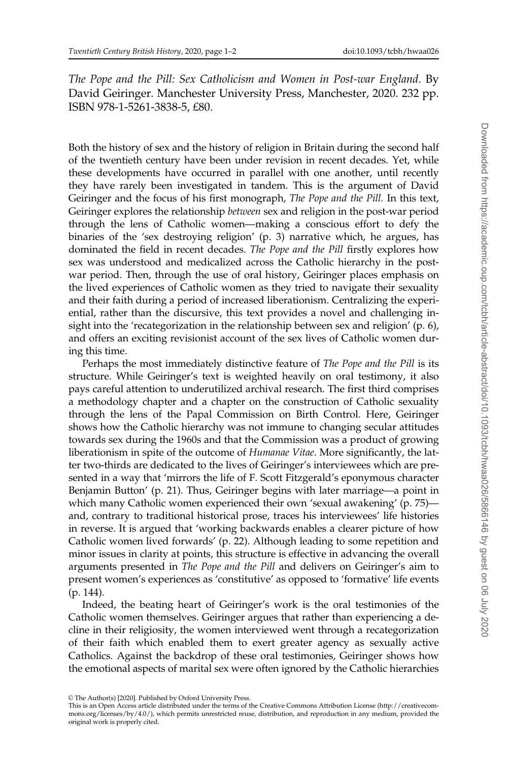The Pope and the Pill: Sex Catholicism and Women in Post-war England. By David Geiringer. Manchester University Press, Manchester, 2020. 232 pp. ISBN 978-1-5261-3838-5, £80.

Both the history of sex and the history of religion in Britain during the second half of the twentieth century have been under revision in recent decades. Yet, while these developments have occurred in parallel with one another, until recently they have rarely been investigated in tandem. This is the argument of David Geiringer and the focus of his first monograph, The Pope and the Pill. In this text, Geiringer explores the relationship between sex and religion in the post-war period through the lens of Catholic women—making a conscious effort to defy the binaries of the 'sex destroying religion' (p. 3) narrative which, he argues, has dominated the field in recent decades. The Pope and the Pill firstly explores how sex was understood and medicalized across the Catholic hierarchy in the postwar period. Then, through the use of oral history, Geiringer places emphasis on the lived experiences of Catholic women as they tried to navigate their sexuality and their faith during a period of increased liberationism. Centralizing the experiential, rather than the discursive, this text provides a novel and challenging insight into the 'recategorization in the relationship between sex and religion' (p. 6), and offers an exciting revisionist account of the sex lives of Catholic women during this time.

Perhaps the most immediately distinctive feature of The Pope and the Pill is its structure. While Geiringer's text is weighted heavily on oral testimony, it also pays careful attention to underutilized archival research. The first third comprises a methodology chapter and a chapter on the construction of Catholic sexuality through the lens of the Papal Commission on Birth Control. Here, Geiringer shows how the Catholic hierarchy was not immune to changing secular attitudes towards sex during the 1960s and that the Commission was a product of growing liberationism in spite of the outcome of *Humanae Vitae*. More significantly, the latter two-thirds are dedicated to the lives of Geiringer's interviewees which are presented in a way that 'mirrors the life of F. Scott Fitzgerald's eponymous character Benjamin Button' (p. 21). Thus, Geiringer begins with later marriage—a point in which many Catholic women experienced their own 'sexual awakening' (p. 75) and, contrary to traditional historical prose, traces his interviewees' life histories in reverse. It is argued that 'working backwards enables a clearer picture of how Catholic women lived forwards' (p. 22). Although leading to some repetition and minor issues in clarity at points, this structure is effective in advancing the overall arguments presented in The Pope and the Pill and delivers on Geiringer's aim to present women's experiences as 'constitutive' as opposed to 'formative' life events (p. 144).

Indeed, the beating heart of Geiringer's work is the oral testimonies of the Catholic women themselves. Geiringer argues that rather than experiencing a decline in their religiosity, the women interviewed went through a recategorization of their faith which enabled them to exert greater agency as sexually active Catholics. Against the backdrop of these oral testimonies, Geiringer shows how the emotional aspects of marital sex were often ignored by the Catholic hierarchies

 $\odot$  The Author(s) [2020]. Published by Oxford University Press.

This is an Open Access article distributed under the terms of the Creative Commons Attribution License (http://creativecommons.org/licenses/by/4.0/), which permits unrestricted reuse, distribution, and reproduction in any medium, provided the original work is properly cited.